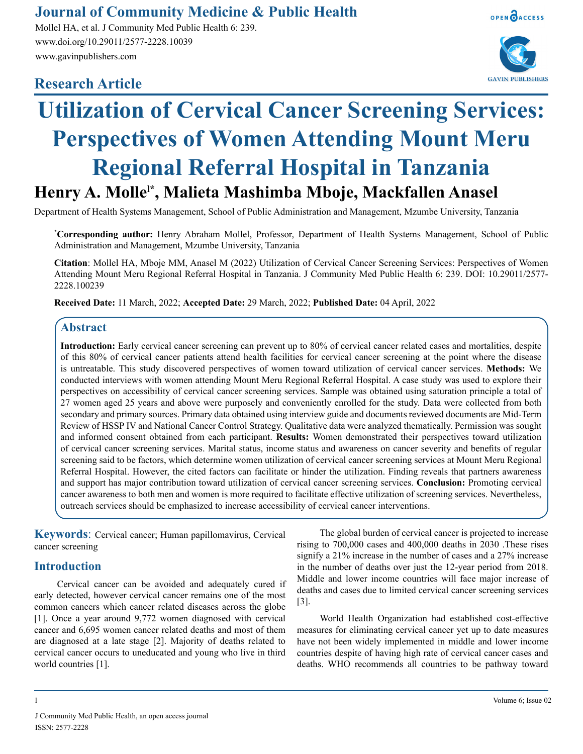# **Journal of Community Medicine & Public Health**

Mollel HA, et al. J Community Med Public Health 6: 239. www.doi.org/10.29011/2577-2228.10039 www.gavinpublishers.com

# **Research Article**



**GAVIN PUBLISHERS** 

OPEN OACCESS

# **Utilization of Cervical Cancer Screening Services: Perspectives of Women Attending Mount Meru Regional Referral Hospital in Tanzania**

**Henry A. Mollel\*, Malieta Mashimba Mboje, Mackfallen Anasel**

Department of Health Systems Management, School of Public Administration and Management, Mzumbe University, Tanzania

**\* Corresponding author:** Henry Abraham Mollel, Professor, Department of Health Systems Management, School of Public Administration and Management, Mzumbe University, Tanzania

**Citation**: Mollel HA, Mboje MM, Anasel M (2022) Utilization of Cervical Cancer Screening Services: Perspectives of Women Attending Mount Meru Regional Referral Hospital in Tanzania. J Community Med Public Health 6: 239. DOI: 10.29011/2577- 2228.100239

**Received Date:** 11 March, 2022; **Accepted Date:** 29 March, 2022; **Published Date:** 04 April, 2022

# **Abstract**

**Introduction:** Early cervical cancer screening can prevent up to 80% of cervical cancer related cases and mortalities, despite of this 80% of cervical cancer patients attend health facilities for cervical cancer screening at the point where the disease is untreatable. This study discovered perspectives of women toward utilization of cervical cancer services. **Methods:** We conducted interviews with women attending Mount Meru Regional Referral Hospital. A case study was used to explore their perspectives on accessibility of cervical cancer screening services. Sample was obtained using saturation principle a total of 27 women aged 25 years and above were purposely and conveniently enrolled for the study. Data were collected from both secondary and primary sources. Primary data obtained using interview guide and documents reviewed documents are Mid-Term Review of HSSP IV and National Cancer Control Strategy. Qualitative data were analyzed thematically. Permission was sought and informed consent obtained from each participant. **Results:** Women demonstrated their perspectives toward utilization of cervical cancer screening services. Marital status, income status and awareness on cancer severity and benefits of regular screening said to be factors, which determine women utilization of cervical cancer screening services at Mount Meru Regional Referral Hospital. However, the cited factors can facilitate or hinder the utilization. Finding reveals that partners awareness and support has major contribution toward utilization of cervical cancer screening services. **Conclusion:** Promoting cervical cancer awareness to both men and women is more required to facilitate effective utilization of screening services. Nevertheless, outreach services should be emphasized to increase accessibility of cervical cancer interventions.

**Keywords**: Cervical cancer; Human papillomavirus, Cervical cancer screening

# **Introduction**

Cervical cancer can be avoided and adequately cured if early detected, however cervical cancer remains one of the most common cancers which cancer related diseases across the globe [1]. Once a year around 9,772 women diagnosed with cervical cancer and 6,695 women cancer related deaths and most of them are diagnosed at a late stage [2]. Majority of deaths related to cervical cancer occurs to uneducated and young who live in third world countries [1].

The global burden of cervical cancer is projected to increase rising to 700,000 cases and 400,000 deaths in 2030 .These rises signify a 21% increase in the number of cases and a 27% increase in the number of deaths over just the 12-year period from 2018. Middle and lower income countries will face major increase of deaths and cases due to limited cervical cancer screening services [3].

World Health Organization had established cost-effective measures for eliminating cervical cancer yet up to date measures have not been widely implemented in middle and lower income countries despite of having high rate of cervical cancer cases and deaths. WHO recommends all countries to be pathway toward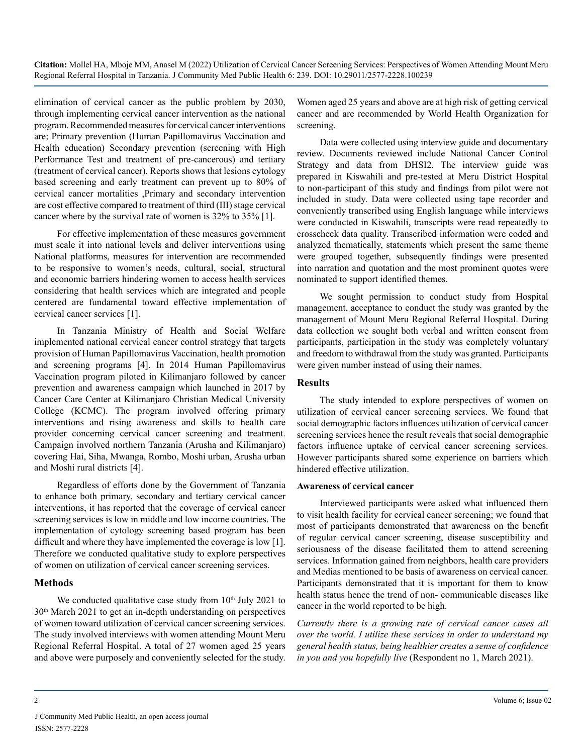elimination of cervical cancer as the public problem by 2030, through implementing cervical cancer intervention as the national program. Recommended measures for cervical cancer interventions are; Primary prevention (Human Papillomavirus Vaccination and Health education) Secondary prevention (screening with High Performance Test and treatment of pre-cancerous) and tertiary (treatment of cervical cancer). Reports shows that lesions cytology based screening and early treatment can prevent up to 80% of cervical cancer mortalities ,Primary and secondary intervention are cost effective compared to treatment of third (III) stage cervical cancer where by the survival rate of women is 32% to 35% [1].

For effective implementation of these measures government must scale it into national levels and deliver interventions using National platforms, measures for intervention are recommended to be responsive to women's needs, cultural, social, structural and economic barriers hindering women to access health services considering that health services which are integrated and people centered are fundamental toward effective implementation of cervical cancer services [1].

In Tanzania Ministry of Health and Social Welfare implemented national cervical cancer control strategy that targets provision of Human Papillomavirus Vaccination, health promotion and screening programs [4]. In 2014 Human Papillomavirus Vaccination program piloted in Kilimanjaro followed by cancer prevention and awareness campaign which launched in 2017 by Cancer Care Center at Kilimanjaro Christian Medical University College (KCMC). The program involved offering primary interventions and rising awareness and skills to health care provider concerning cervical cancer screening and treatment. Campaign involved northern Tanzania (Arusha and Kilimanjaro) covering Hai, Siha, Mwanga, Rombo, Moshi urban, Arusha urban and Moshi rural districts [4].

Regardless of efforts done by the Government of Tanzania to enhance both primary, secondary and tertiary cervical cancer interventions, it has reported that the coverage of cervical cancer screening services is low in middle and low income countries. The implementation of cytology screening based program has been difficult and where they have implemented the coverage is low [1]. Therefore we conducted qualitative study to explore perspectives of women on utilization of cervical cancer screening services.

#### **Methods**

We conducted qualitative case study from  $10<sup>th</sup>$  July 2021 to 30th March 2021 to get an in-depth understanding on perspectives of women toward utilization of cervical cancer screening services. The study involved interviews with women attending Mount Meru Regional Referral Hospital. A total of 27 women aged 25 years and above were purposely and conveniently selected for the study.

Women aged 25 years and above are at high risk of getting cervical cancer and are recommended by World Health Organization for screening.

Data were collected using interview guide and documentary review. Documents reviewed include National Cancer Control Strategy and data from DHSI2. The interview guide was prepared in Kiswahili and pre-tested at Meru District Hospital to non-participant of this study and findings from pilot were not included in study. Data were collected using tape recorder and conveniently transcribed using English language while interviews were conducted in Kiswahili, transcripts were read repeatedly to crosscheck data quality. Transcribed information were coded and analyzed thematically, statements which present the same theme were grouped together, subsequently findings were presented into narration and quotation and the most prominent quotes were nominated to support identified themes.

We sought permission to conduct study from Hospital management, acceptance to conduct the study was granted by the management of Mount Meru Regional Referral Hospital. During data collection we sought both verbal and written consent from participants, participation in the study was completely voluntary and freedom to withdrawal from the study was granted. Participants were given number instead of using their names.

#### **Results**

The study intended to explore perspectives of women on utilization of cervical cancer screening services. We found that social demographic factors influences utilization of cervical cancer screening services hence the result reveals that social demographic factors influence uptake of cervical cancer screening services. However participants shared some experience on barriers which hindered effective utilization.

#### **Awareness of cervical cancer**

Interviewed participants were asked what influenced them to visit health facility for cervical cancer screening; we found that most of participants demonstrated that awareness on the benefit of regular cervical cancer screening, disease susceptibility and seriousness of the disease facilitated them to attend screening services. Information gained from neighbors, health care providers and Medias mentioned to be basis of awareness on cervical cancer. Participants demonstrated that it is important for them to know health status hence the trend of non- communicable diseases like cancer in the world reported to be high.

*Currently there is a growing rate of cervical cancer cases all over the world. I utilize these services in order to understand my general health status, being healthier creates a sense of confidence in you and you hopefully live* (Respondent no 1, March 2021).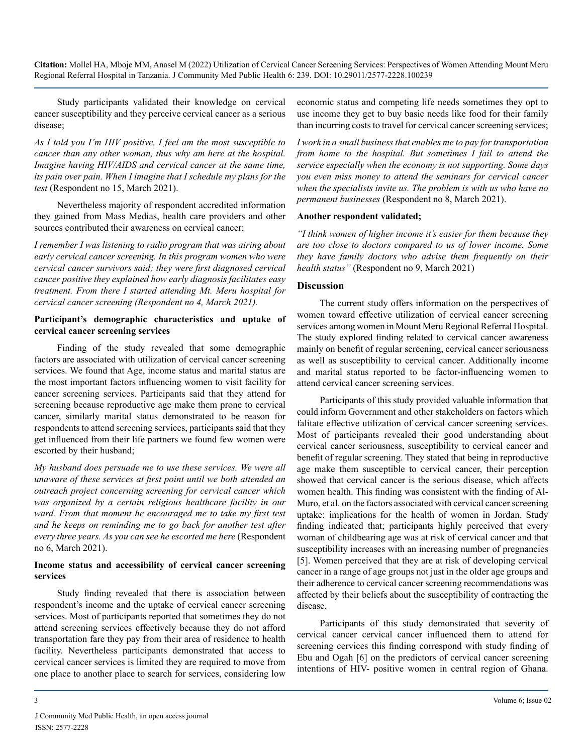Study participants validated their knowledge on cervical cancer susceptibility and they perceive cervical cancer as a serious disease;

*As I told you I'm HIV positive, I feel am the most susceptible to cancer than any other woman, thus why am here at the hospital. Imagine having HIV/AIDS and cervical cancer at the same time, its pain over pain. When I imagine that I schedule my plans for the test* (Respondent no 15, March 2021).

Nevertheless majority of respondent accredited information they gained from Mass Medias, health care providers and other sources contributed their awareness on cervical cancer;

*I remember I was listening to radio program that was airing about early cervical cancer screening. In this program women who were cervical cancer survivors said; they were first diagnosed cervical cancer positive they explained how early diagnosis facilitates easy treatment. From there I started attending Mt. Meru hospital for cervical cancer screening (Respondent no 4, March 2021).*

#### **Participant's demographic characteristics and uptake of cervical cancer screening services**

Finding of the study revealed that some demographic factors are associated with utilization of cervical cancer screening services. We found that Age, income status and marital status are the most important factors influencing women to visit facility for cancer screening services. Participants said that they attend for screening because reproductive age make them prone to cervical cancer, similarly marital status demonstrated to be reason for respondents to attend screening services, participants said that they get influenced from their life partners we found few women were escorted by their husband;

*My husband does persuade me to use these services. We were all unaware of these services at first point until we both attended an outreach project concerning screening for cervical cancer which was organized by a certain religious healthcare facility in our ward. From that moment he encouraged me to take my first test and he keeps on reminding me to go back for another test after every three years. As you can see he escorted me here* (Respondent no 6, March 2021).

#### **Income status and accessibility of cervical cancer screening services**

Study finding revealed that there is association between respondent's income and the uptake of cervical cancer screening services. Most of participants reported that sometimes they do not attend screening services effectively because they do not afford transportation fare they pay from their area of residence to health facility. Nevertheless participants demonstrated that access to cervical cancer services is limited they are required to move from one place to another place to search for services, considering low

economic status and competing life needs sometimes they opt to use income they get to buy basic needs like food for their family than incurring costs to travel for cervical cancer screening services;

*I work in a small business that enables me to pay for transportation from home to the hospital. But sometimes I fail to attend the service especially when the economy is not supporting. Some days you even miss money to attend the seminars for cervical cancer when the specialists invite us. The problem is with us who have no permanent businesses* (Respondent no 8, March 2021).

#### **Another respondent validated;**

*"I think women of higher income it's easier for them because they are too close to doctors compared to us of lower income. Some they have family doctors who advise them frequently on their health status"* (Respondent no 9, March 2021)

#### **Discussion**

The current study offers information on the perspectives of women toward effective utilization of cervical cancer screening services among women in Mount Meru Regional Referral Hospital. The study explored finding related to cervical cancer awareness mainly on benefit of regular screening, cervical cancer seriousness as well as susceptibility to cervical cancer. Additionally income and marital status reported to be factor-influencing women to attend cervical cancer screening services.

Participants of this study provided valuable information that could inform Government and other stakeholders on factors which falitate effective utilization of cervical cancer screening services. Most of participants revealed their good understanding about cervical cancer seriousness, susceptibility to cervical cancer and benefit of regular screening. They stated that being in reproductive age make them susceptible to cervical cancer, their perception showed that cervical cancer is the serious disease, which affects women health. This finding was consistent with the finding of Al-Muro, et al. on the factors associated with cervical cancer screening uptake: implications for the health of women in Jordan. Study finding indicated that; participants highly perceived that every woman of childbearing age was at risk of cervical cancer and that susceptibility increases with an increasing number of pregnancies [5]. Women perceived that they are at risk of developing cervical cancer in a range of age groups not just in the older age groups and their adherence to cervical cancer screening recommendations was affected by their beliefs about the susceptibility of contracting the disease.

Participants of this study demonstrated that severity of cervical cancer cervical cancer influenced them to attend for screening cervices this finding correspond with study finding of Ebu and Ogah [6] on the predictors of cervical cancer screening intentions of HIV- positive women in central region of Ghana.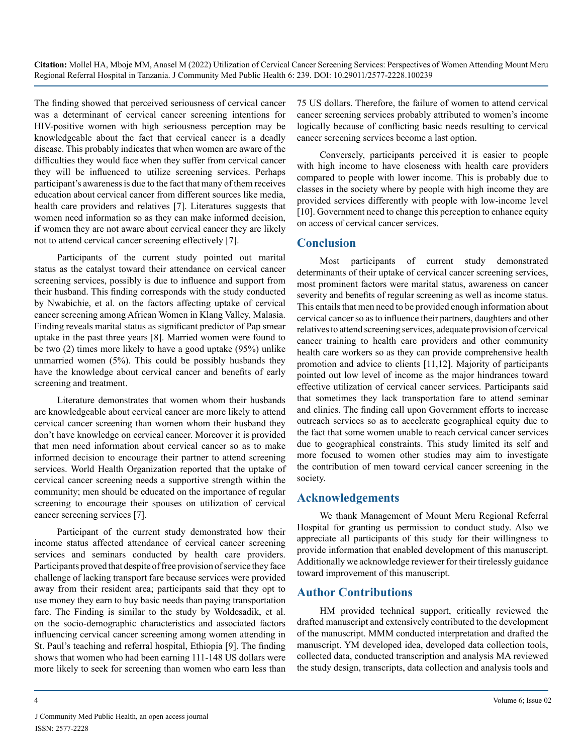The finding showed that perceived seriousness of cervical cancer was a determinant of cervical cancer screening intentions for HIV-positive women with high seriousness perception may be knowledgeable about the fact that cervical cancer is a deadly disease. This probably indicates that when women are aware of the difficulties they would face when they suffer from cervical cancer they will be influenced to utilize screening services. Perhaps participant's awareness is due to the fact that many of them receives education about cervical cancer from different sources like media, health care providers and relatives [7]. Literatures suggests that women need information so as they can make informed decision, if women they are not aware about cervical cancer they are likely not to attend cervical cancer screening effectively [7].

Participants of the current study pointed out marital status as the catalyst toward their attendance on cervical cancer screening services, possibly is due to influence and support from their husband. This finding corresponds with the study conducted by Nwabichie, et al. on the factors affecting uptake of cervical cancer screening among African Women in Klang Valley, Malasia. Finding reveals marital status as significant predictor of Pap smear uptake in the past three years [8]. Married women were found to be two (2) times more likely to have a good uptake (95%) unlike unmarried women (5%). This could be possibly husbands they have the knowledge about cervical cancer and benefits of early screening and treatment.

Literature demonstrates that women whom their husbands are knowledgeable about cervical cancer are more likely to attend cervical cancer screening than women whom their husband they don't have knowledge on cervical cancer. Moreover it is provided that men need information about cervical cancer so as to make informed decision to encourage their partner to attend screening services. World Health Organization reported that the uptake of cervical cancer screening needs a supportive strength within the community; men should be educated on the importance of regular screening to encourage their spouses on utilization of cervical cancer screening services [7].

Participant of the current study demonstrated how their income status affected attendance of cervical cancer screening services and seminars conducted by health care providers. Participants proved that despite of free provision of service they face challenge of lacking transport fare because services were provided away from their resident area; participants said that they opt to use money they earn to buy basic needs than paying transportation fare. The Finding is similar to the study by Woldesadik, et al. on the socio-demographic characteristics and associated factors influencing cervical cancer screening among women attending in St. Paul's teaching and referral hospital, Ethiopia [9]. The finding shows that women who had been earning 111-148 US dollars were more likely to seek for screening than women who earn less than

75 US dollars. Therefore, the failure of women to attend cervical cancer screening services probably attributed to women's income logically because of conflicting basic needs resulting to cervical cancer screening services become a last option.

Conversely, participants perceived it is easier to people with high income to have closeness with health care providers compared to people with lower income. This is probably due to classes in the society where by people with high income they are provided services differently with people with low-income level [10]. Government need to change this perception to enhance equity on access of cervical cancer services.

# **Conclusion**

Most participants of current study demonstrated determinants of their uptake of cervical cancer screening services, most prominent factors were marital status, awareness on cancer severity and benefits of regular screening as well as income status. This entails that men need to be provided enough information about cervical cancer so as to influence their partners, daughters and other relatives to attend screening services, adequate provision of cervical cancer training to health care providers and other community health care workers so as they can provide comprehensive health promotion and advice to clients [11,12]. Majority of participants pointed out low level of income as the major hindrances toward effective utilization of cervical cancer services. Participants said that sometimes they lack transportation fare to attend seminar and clinics. The finding call upon Government efforts to increase outreach services so as to accelerate geographical equity due to the fact that some women unable to reach cervical cancer services due to geographical constraints. This study limited its self and more focused to women other studies may aim to investigate the contribution of men toward cervical cancer screening in the society.

# **Acknowledgements**

We thank Management of Mount Meru Regional Referral Hospital for granting us permission to conduct study. Also we appreciate all participants of this study for their willingness to provide information that enabled development of this manuscript. Additionally we acknowledge reviewer for their tirelessly guidance toward improvement of this manuscript.

# **Author Contributions**

HM provided technical support, critically reviewed the drafted manuscript and extensively contributed to the development of the manuscript. MMM conducted interpretation and drafted the manuscript. YM developed idea, developed data collection tools, collected data, conducted transcription and analysis MA reviewed the study design, transcripts, data collection and analysis tools and